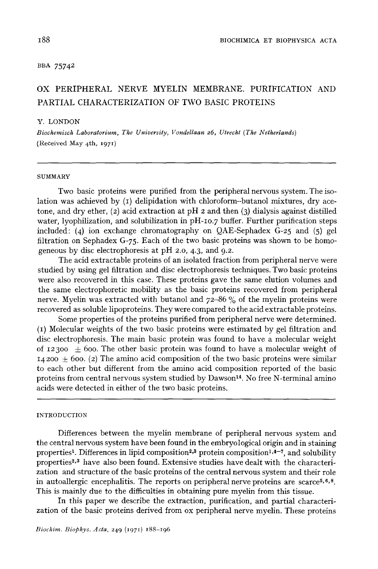# BBA 75742

# **OX PERIPHERAL NERVE** MYELIN MEMBRANE. PURIFICATION AND PARTIAL CHARACTERIZATION OF TWO BASIC PROTEINS

#### Y. LONDON

*Biochemisch Laboratorium, The University, Vondellaan 26, Utrecht (The Netherlands)*  (Received May 4th, 1971)

#### **SUMMARY**

Two basic proteins were purified from the peripheral nervous system. The isolation was achieved by  $(I)$  delipidation with chloroform-butanol mixtures, dry acetone, and dry ether,  $(2)$  acid extraction at pH  $2$  and then  $(3)$  dialysis against distilled water, lyophilization, and solubilization in pH-Io.7 buffer. Further purification steps included: (4) ion exchange chromatography on QAE-Sephadex G-25 and (5) gel filtration on Sephadex G-75. Each of the two basic proteins was shown to be homogeneous by disc electrophoresis at pH 2.0, 4.3, and 9.2.

The acid extractable proteins of an isolated fraction from peripheral nerve were studied by using gel filtration and disc electrophoresis techniques. Two basic proteins were also recovered in this case. These proteins gave the same elution volumes and the same electrophoretic mobility as the basic proteins recovered from peripheral nerve. Myelin was extracted with butanol and 72-86 % of the myelin proteins were recovered as soluble lipoproteins. They were compared to the acid extractable proteins.

Some properties of the proteins purified from peripheral nerve were determined. (I) Molecular weights of the two basic proteins were estimated by gel filtration and disc electrophoresis. The main basic protein was found to have a molecular weight of 12300  $\pm$  600. The other basic protein was found to have a molecular weight of  $14200 \pm 600$ . (2) The amino acid composition of the two basic proteins were similar to each other but different from the amino acid composition reported of the basic proteins from central nervous system studied by Dawson<sup>14</sup>. No free N-terminal amino acids were detected in either of the two basic proteins.

## INTRODUCTION

Differences between the myelin membrane of peripheral nervous system and the central nervous system have been found in the embryological origin and in staining properties<sup>1</sup>. Differences in lipid composition<sup>2,3</sup> protein composition<sup>1,4-7</sup>, and solubility properties<sup>2,3</sup> have also been found. Extensive studies have dealt with the characterization and structure of the basic proteins of the central nervous system and their role in autoallergic encephalitis. The reports on peripheral nerve proteins are scarce<sup> $5, 6, 8$ </sup>. This is mainly due to the difficulties in obtaining pure myelin from this tissue.

In this paper we describe the extraction, purification, and partial characterization of the basic proteins derived from ox peripheral nerve myelin. These proteins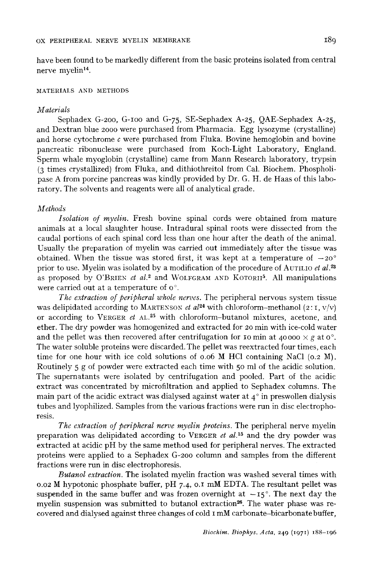have been found to be markedly different from the basic proteins isolated from central nerve myelin<sup>14</sup>.

# MATERIALS AND METHODS

# *Materials*

Sephadex G-2oo, G-Ioo and G-75, SE-Sephadex A-25, QAE-Sephadex A-25, and Dextran blue 2000 were purchased from Pharmacia. Egg lysozyme (crystalline) and horse cytochrome  $c$  were purchased from Fluka. Bovine hemoglobin and bovine pancreatic ribonuclease were purchased from Koch-Light Laboratory, England. Sperm whale myoglobin (crystalline) came from Mann Research laboratory, trypsin (3 times crystallized) from Fluka, and dithiothreitol from Cal. Biochem. Phospholipase A from porcine pancreas was kindly provided by Dr. G. H. de Haas of this laboratory. The solvents and reagents were all of analytical grade.

# *Methods*

*Isolation of myelin.* Fresh bovine spinal cords were obtained from mature animals at a local slaughter house. Intradural spinal roots were dissected from the caudal portions of each spinal cord less than one hour after the death of the animal. Usually the preparation of myelin was carried out immediately after the tissue was obtained. When the tissue was stored first, it was kept at a temperature of  $-20^{\circ}$ prior to use. Myelin was isolated by a modification of the procedure of AUTILIO *et al. 23*  as proposed by O'BRIEN *et al.*<sup>2</sup> and WOLFGRAM AND KOTORII<sup>5</sup>. All manipulations were carried out at a temperature of o°.

*The extraction of peripheral whole nerves.* The peripheral nervous system tissue was delipidated according to MARTENSON *et al*<sup>24</sup> with chloroform-methanol (2:1, v/v) or according to VERGER *et* AL.<sup>25</sup> with chloroform-butanol mixtures, acetone, and ether. The dry powder was homogenized and extracted for 2o min with ice-cold water and the pellet was then recovered after centrifugation for 10 min at 40000  $\times$  g at 0<sup>o</sup>. The water soluble proteins were discarded. The pellet was reextracted four times, each time for one hour with ice cold solutions of 0.06 M HC1 containing NaC1 (0.2 M). Routinely 5 g of powder were extracted each time with 50 ml of the acidic solution. The supernatants were isolated by centrifugation and pooled. Part of the acidic extract was concentrated by microfiltration and applied to Sephadex columns. The main part of the acidic extract was dialysed against water at  $4^\circ$  in preswollen dialysis tubes and lyophilized. Samples from the various fractions were run in disc electrophoresis.

*The extraction of peripheral nerve myelin proteins.* The peripheral nerve myelin preparation was delipidated according to VERGER *et al. is* and the dry powder was extracted at acidic pH by the same method used for peripheral nerves. The extracted proteins were applied to a Sephadex G-2oo column and samples from the different fractions were run in disc electrophoresis.

*Butanol extraction.* The isolated myelin fraction was washed several times with 0.02 M hypotonic phosphate buffer, pH 7.4, o.I mM EDTA. The resultant pellet was suspended in the same buffer and was frozen overnight at  $-15^\circ$ . The next day the myelin suspension was submitted to butanol extraction<sup>26</sup>. The water phase was recovered and dialysed against three changes of cold I mM carbonate-bicarbonate buffer,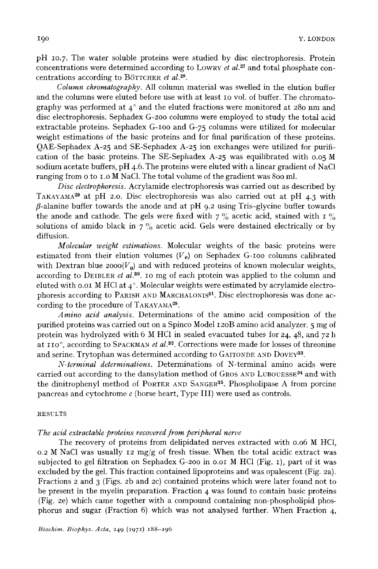pH 10.7. The water soluble proteins were studied by disc electrophoresis. Protein concentrations were determined according to LOWRY et *al. 27* and total phosphate concentrations according to BOTTCHER et *al. 2s.* 

*Column chromatography.* All column material was swelled in the elution buffer and the columns were eluted before use with at least IO vol. of buffer. The chromatography was performed at  $4^\circ$  and the eluted fractions were monitored at 280 nm and disc electrophoresis. Sephadex G-2oo columns were employed to study the total acid extractable proteins. Sephadex G-Ioo and G-75 columns were utilized for molecular weight estimations of the basic proteins and for final purification of these proteins. QAE-Sephadex A-25 and SE-Sephadex A-25 ion exchanges were utilized for purification of the basic proteins. The SE-Sephadex A-25 was equilibrated with 0.05 M sodium acetate buffers, pH 4.6. The proteins were eluted with a linear gradient of NaC1 ranging from o to I.O M NaC1. The total volume of the gradient was 800 ml.

*Disc electrophoresis.* Acrylamide electrophoresis was carried out as described by TAKAYAMA<sup>29</sup> at pH 2.0. Disc electrophoresis was also carried out at pH  $4.3$  with  $\beta$ -alanine buffer towards the anode and at pH 9.2 using Tris-glycine buffer towards the anode and cathode. The gels were fixed with  $7\%$  acetic acid, stained with I  $\%$ solutions of amido black in  $7\%$  acetic acid. Gels were destained electrically or by diffusion.

*Molecular weight estimations.* Molecular weights of the basic proteins were estimated from their elution volumes  $(V_e)$  on Sephadex G-100 columns calibrated with Dextran blue  $2000(V_0)$  and with reduced proteins of known molecular weights, according to DEIBLER et *al. 3°.* I0 mg of each protein was applied to the column and eluted with 0.01 M HCl at  $4^\circ$ . Molecular weights were estimated by acrylamide electrophoresis according to PARISH AND MARCHALONIS<sup>31</sup>. Disc electrophoresis was done according to the procedure of TAKAYAMA<sup>29</sup>.

*Amino acid analysis.* Determinations of the amino acid composition of the purified proteins was carried out on a Spinco Model I2oB amino acid analyzer. 5 mg of protein was hydrolyzed with 6 M HCl in sealed evacuated tubes for  $24$ ,  $48$ , and  $72$  h at 110°, according to SPACKMAN et al.<sup>32</sup>. Corrections were made for losses of threonine and serine. Trytophan was determined according to GAITONDE AND DOVEY<sup>33</sup>.

*N-terminal determinations.* Determinations of N-terminal amino acids were carried out according to the dansylation method of GROS AND LUBOUESSE<sup>34</sup> and with the dinitrophenyl method of PORTER AND GANGER 3s. Phospholipase A from porcine pancreas and cytochrome  $c$  (horse heart, Type III) were used as controls.

#### RESULTS

# *The acid extractable proteins recovered from peripheral nerve*

The recovery of proteins from delipidated nerves extracted with 0.06 M HC1, 0.2 M NaCl was usually 12 mg/g of fresh tissue. When the total acidic extract was subjected to gel filtration on Sephadex G-2oo in o.oi M HC1 (Fig. I), part of it was excluded by the gel. This fraction contained lipoproteins and was opalescent (Fig. 2a). Fractions 2 and 3 (Figs. 2b and 2c) contained proteins which were later found not to be present in the myelin preparation. Fraction 4 was found to contain basic proteins (Fig. 2e) which came together with a compound containing non-phospholipid phosphorus and sugar (Fraction 6) which was not analysed further. When Fraction 4,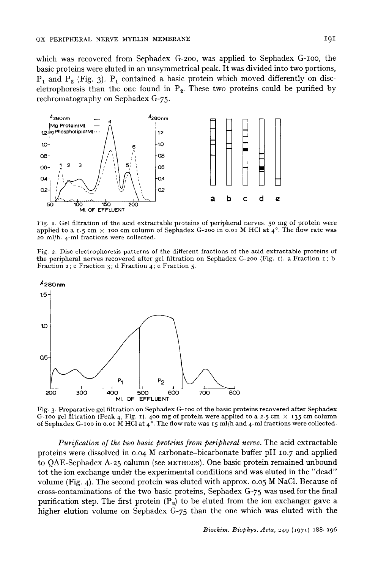which was recovered from Sephadex G-2oo, was applied to Sephadex G-Ioo, the basic proteins were eluted in an unsymmetrical peak. It was divided into two portions,  $P_1$  and  $P_2$  (Fig. 3).  $P_1$  contained a basic protein which moved differently on disceletrophoresis than the one found in  $P_2$ . These two proteins could be purified by rechromatography on Sephadex G-75.



Fig. 1. Gel filtration of the acid extractable proteins of peripheral nerves. 50 mg of protein were applied to a 1.5 cm  $\times$  100 cm column of Sephadex G-200 in 0.01 M HCl at 4°. The flow rate was 20 ml/h. 4-ml fractions were collected.

Fig. 2. Disc electrophoresis patterns of the different fractions of the acid extractable proteins of the peripheral nerves recovered after gel filtration on Sephadex G-2oo (Fig. i). a Fraction i ; b Fraction 2; c Fraction 3; d Fraction 4; e Fraction 5-



Fig. 3- Preparative gel filtration on Sephadex G-ioo of the basic proteins recovered after Sephadex G-100 gel filtration (Peak 4, Fig. 1). 400 mg of protein were applied to a 2.5 cm  $\times$  135 cm column of Sephadex G-100 in 0.01 M HCl at  $4^{\circ}$ . The flow rate was 15 ml/h and 4-ml fractions were collected.

*Purification of the two basic proteins from peripheral nerve.* **The acid extractable**  proteins were dissolved in 0.04 M carbonate-bicarbonate buffer pH 10.7 and applied **to QAE-Sephadex A-25 column (see METHODS). One basic protein remained unbound tot the ion exchange under the experimental conditions and was eluted in the "dead" volume (Fig. 4). The second protein was eluted with approx. 0.05 M NaCI. Because of cross-contaminations of the two basic proteins, Sephadex G-75 was used for the final**  purification step. The first protein (P<sub>2</sub>) to be eluted from the ion exchanger gave a **higher elution volume on Sephadex G-75 than the one which was eluted with the**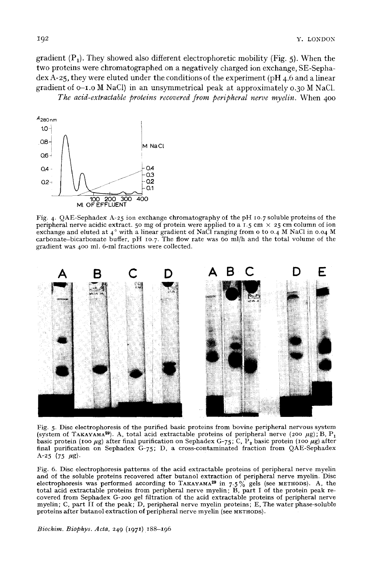gradient  $(P_1)$ . They showed also different electrophoretic mobility (Fig. 5). When the two proteins were chromatographed on a negatively charged ion exchange, SE-Sephadex A-25, they were eluted under the conditions of the experiment (pH 4.6 and a linear gradient of o-i.o M NaC1) in an unsymmetrical peak at approximately 0.30 M NaC1.

*The acid-extractable proteins recovered from peripheral nerve myelin.* When 400



Fig. 4. QAE-Sephadex A-25 ion exchange chromatography of the pH 10.7 soluble proteins of the peripheral nerve acidic extract. 50 mg of protein were applied to a 1.5 cm  $\times$  25 cm column of ion exchange and eluted at 4° with a linear gradient of NaCl ranging from 0 to 0.4 M NaCl in 0.04 M carbonate-bicarbonate buffer,  $pH$  10.7. The flow rate was 60 ml/h and the total volume of the gradient was 400 ml. 6-ml fractions were collected.



Fig. 5. Disc electrophoresis of the purified basic proteins from bovine peripheral nervous system (system of TAKAYAMA<sup>29</sup>). A, total acid extractable proteins of peripheral nerve (200  $\mu$ g); B, P<sub>1</sub> basic protein (100  $\mu$ g) after final purification on Sephadex G-75; C, P<sub>2</sub> basic protein (100  $\mu$ g) after final purification on Sephadex G-75; D, a cross-contaminated fraction from QAE-Sephadex A-25 (75  $\mu$ g).

Fig. 6. Disc electrophoresis patterns of the acid extractable proteins of peripheral nerve myelin and of the soluble proteins recovered after butanol extraction of peripheral nerve myelin. Disc electrophoresis was performed according to TAKAYAMA<sup>29</sup> in 7.5% gels (see METHODS). A, the total acid extractable proteins from peripheral nerve myelin; B, part I of the protein peak recovered from Sephadex G-2oo gel filtration of the acid extractable proteins of peripheral nerve myelin; C, part II of the peak; D, peripheral nerve myelin proteins; E, The water phase-soluble proteins after butanol extraction of peripheral nerve myelin (see METHODS).

*Biochim. Biophys. Acta, 249 (1971) 188-196*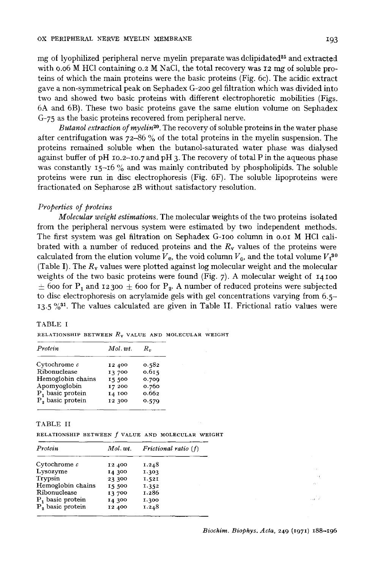mg of lyophilized peripheral nerve myelin preparate was delipidated 25 and extracted with o.06 M HC1 containing 0.2 M NaC1, the total recovery was 12 mg of soluble proteins of which the main proteins were the basic proteins (Fig: 6c). The acidic extract gave a non-symmetrical peak on Sephadex G-2oo gel filtration which was divided into two and showed two basic proteins with different electrophoretic mobilities (Figs. 6A and 6B). These two basic proteins gave the same elution volume on Sephadex G-75 as the basic proteins recovered from peripheral nerve.

*Butanol extraction of myelin 2°.* The recovery of soluble proteins in the water phase after centrifugation was  $72-86\%$  of the total proteins in the myelin suspension. The proteins remained soluble when the butanol-saturated water phase was dialysed against buffer of pH  $\text{10.2--10.7}$  and pH 3. The recovery of total P in the aqueous phase was constantly 15-16 % and was mainly contributed by phospholipids. The soluble proteins were run in disc electrophoresis (Fig. 6F). The soluble lipoproteins were fractionated on Sepharose 2B without satisfactory resolution.

## *Properties of proteins*

*Molecular weight estimations.* The molecular weights of the two proteins isolated from the peripheral nervous system were estimated by two independent methods. The first system was gel filtration on Sephadex G-Ioo column in o.oi M HC1 calibrated with a number of reduced proteins and the  $R_v$  values of the proteins were calculated from the elution volume  $V_e$ , the void column  $V_0$ , and the total volume  $V_t^{30}$ (Table I). The  $R_v$  values were plotted against log molecular weight and the molecular weights of the two basic proteins were found (Fig.  $7$ ). A molecular weight of 14100  $\pm$  600 for P<sub>1</sub> and 12300  $\pm$  600 for P<sub>2</sub>. A number of reduced proteins were subjected to disc electrophoresis on acrylamide gels with gel concentrations varying from 6.5-  $13.5\%$ <sup>31</sup>. The values calculated are given in Table II. Frictional ratio values were

# TABLE I

RELATIONSHIP BETWEEN  $R_{v}$  value and molecular weight

| Protein                      | Mol.wt.      | $R_{v}$ |
|------------------------------|--------------|---------|
| $\rm Cytochrome~\it c$       | 12 400       | 0.582   |
| Ribonuclease                 | 13 700       | 0.615   |
| Hemoglobin chains            | <b>I5500</b> | 0.709   |
| Apomyoglobin                 | 17 200       | 0.760   |
| P <sub>1</sub> basic protein | 14 100       | 0.662   |
| P, basic protein             | 12 300       | 0.579   |

### TABLE II

| RELATIONSHIP BETWEEN f VALUE AND MOLECULAR WEIGHT |  |  |  |  |  |
|---------------------------------------------------|--|--|--|--|--|
|---------------------------------------------------|--|--|--|--|--|

| Protein                      | Mol. wt. | Frictional ratio $(f)$ |
|------------------------------|----------|------------------------|
| Cytochrome $c$               | 12 400   | 1.248                  |
| Lysozyme                     | 14 300   | 1.303                  |
| Trypsin                      | 23 300   | 1.521                  |
| Hemoglobin chains            | 15 500   | 1.352                  |
| Ribonuclease                 | 13 700   | 1.286                  |
| $P_1$ basic protein          | 14 300   | 1.300                  |
| P <sub>2</sub> basic protein | 12 400   | 1.248                  |

al 7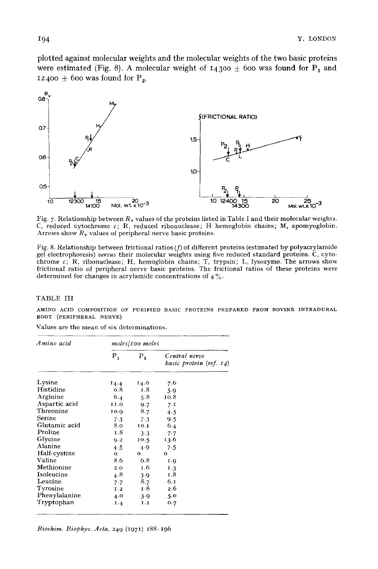plotted against molecular weights and the molecular weights of the two basic proteins were estimated (Fig. 8). A molecular weight of  $14300 \pm 600$  was found for P<sub>1</sub> and 12400  $\pm$  600 was found for P<sub>2</sub>.



Fig. 7. Relationship between  $R_v$  values of the proteins listed in Table I and their molecular weights. C, reduced cytochrome  $c$ ; R, reduced ribonuclease; H hemoglobin chains; M, apomyoglobin. Arrows show  $R_v$  values of peripheral nerve basic proteins.

Fig. 8. Relationship between frictional ratios  $(f)$  of different proteins (estimated by polyacrylamide gel electrophoresis) *versus* their molecular weights using five reduced standard proteins. C, cytochrome  $c$ ; R, ribonuclease; H, hemoglobin chains; T, trypsin; L, lysozyme. The arrows show frictional ratio of peripheral nerve basic proteins. The frictional ratios of these proteins were determined for changes in acrylamide concentrations of  $4\%$ .

## TABLE III

AMINO ACID COMPOSITION OF PURIFIED BASIC PROTEINS PREPARED FROM BOVINE INTRADURAL ROOT (PERIPHERAL NERVE)

| Amino acid    | moles/100 moles |          |                                          |  |  |
|---------------|-----------------|----------|------------------------------------------|--|--|
|               | $P_1$           | $P_{2}$  | Central nerve<br>basic protein (ref. 14) |  |  |
| Lysine        | 14.4            | 14.0     | 7.6                                      |  |  |
| Histidine     | 0.8             | 1.8      | 5.9                                      |  |  |
| Arginine      | 6.4             | 5.8      | 10.8                                     |  |  |
| Aspartic acid | 11.0            | 9.7      | 7.1                                      |  |  |
| Threonine     | 10.9            | 8.7      | 4.5                                      |  |  |
| Serine        | 7.3             | 7.3      | 9.5                                      |  |  |
| Glutamic acid | 8.0             | 10.1     | 6.4                                      |  |  |
| Proline       | 1.8             | $3-3$    | 7.7                                      |  |  |
| Glycine       | 9.2             | 10.5     | 13.6                                     |  |  |
| Alanine       | 4.5             | 4.9      | 7.5                                      |  |  |
| Half-cystine  | о               | $\Omega$ | о                                        |  |  |
| Valine        | 8.6             | 6.8      | I.Q                                      |  |  |
| Methionine    | 2.0             | I.6      | 1.3                                      |  |  |
| Isoleucine    | 4.8             | 3.9      | 1.8                                      |  |  |
| Leucine       | 7.7             | 8.7      | 6.1                                      |  |  |
| Tyrosine      | I.2             | I.8      | 2.6                                      |  |  |
| Phenylalanine | 4.0             | 3.9      | 5.0                                      |  |  |
| Tryptophan    | I.4             | 1.1      | 0.7                                      |  |  |

Values are the mean of six determinations.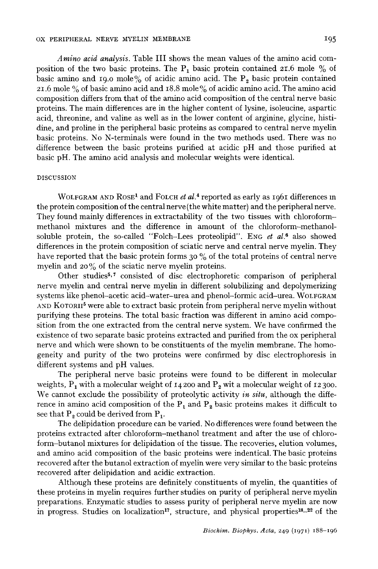*Amino acid analysis.* Table III shows the mean values of the amino acid composition of the two basic proteins. The  $P_1$  basic protein contained 21.6 mole % of basic amino and 19.0 mole% of acidic amino acid. The  $P_2$  basic protein contained 21.6 mole % of basic amino acid and 18.8 mole% of acidic amino acid. The amino acid composition differs from that of the amino acid composition of the central nerve basic proteins. The main differences are in the higher content of lysine, isoleucine, aspartic acid, threonine, and valine as well as in the lower content of arginine, glycine, histidine, and proline in the peripheral basic proteins as compared to central nerve myelin basic proteins. No N-terminals were found in the two methods used. There was no difference between the basic proteins purified at acidic pH and those purified at basic pH. The amino acid analysis and molecular weights were identical.

# DISCUSSION

WOLFGRAM AND ROSE<sup>1</sup> and FOLCH *et al.*<sup>4</sup> reported as early as 1961 differences in the protein composition of the central nerve (the white matter) and the peripheral nerve. They found mainly differences in extractability of the two tissues with chloroformmethanol mixtures and the difference in amount of the chloroform-methanolsoluble protein, the so-called "Folch-Lees proteolipid". Eng *et al.*<sup>6</sup> also showed differences in the protein composition of sciatic nerve and central nerve myelin. They have reported that the basic protein forms 30 % of the total proteins of central nerve myelin and 20 % of the sciatic nerve myelin proteins.

Other studies<sup> $5,7$ </sup> consisted of disc electrophoretic comparison of peripheral nerve myelin and central nerve myelin in different solubilizing and depolymerizing systems like phenol-acetic acid-water-urea and phenol-formic acid-urea. WOLFGRAM AND KOTORII<sup>5</sup> were able to extract basic protein from peripheral nerve myelin without purifying these proteins. The total basic fraction was different in amino acid composition from the one extracted from the central nerve system. We have confirmed the existence of two separate basic proteins extracted and purified from the ox peripheral nerve and which were shown to be constituents of the myelin membrane. The homogeneity and purity of the two proteins were confirmed by disc electrophoresis in different systems and pH values.

The peripheral nerve basic proteins were found to be different in molecular weights,  $P_1$  with a molecular weight of 14 200 and  $P_2$  wit a molecular weight of 12 300. We cannot exclude the possibility of proteolytic activity *in situ,* although the difference in amino acid composition of the  $P_1$  and  $P_2$  basic proteins makes it difficult to see that  $P_2$  could be derived from  $P_1$ .

The delipidation procedure can be varied. No differences were found between the proteins extracted after chloroform-methanol treatment and after the use of chloroform-butanol mixtures for delipidation of the tissue. The recoveries, elution volumes, and amino acid composition of the basic proteins were indentical. The basic proteins recovered after the butanol extraction of myelin were very similar to the basic proteins recovered after delipidation and acidic extraction.

Although these proteins are definitely constituents of myelin, the quantities of these proteins in myelin requires further studies on purity of peripheral nerve myelin preparations. Enzymatic studies to assess purity of peripheral nerve myelin are now in progress. Studies on localization<sup>17</sup>, structure, and physical properties<sup>18\_22</sup> of the